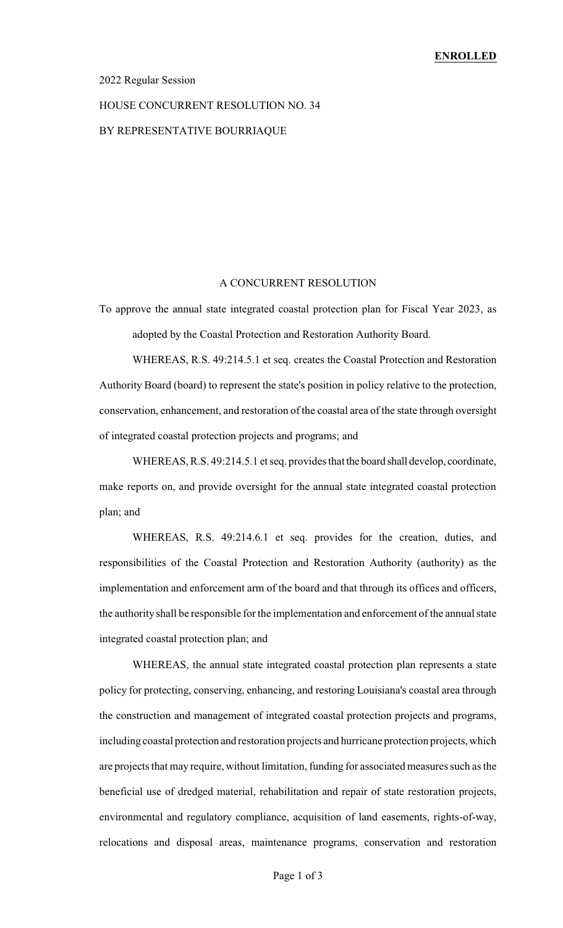#### 2022 Regular Session

# HOUSE CONCURRENT RESOLUTION NO. 34

### BY REPRESENTATIVE BOURRIAQUE

#### A CONCURRENT RESOLUTION

To approve the annual state integrated coastal protection plan for Fiscal Year 2023, as adopted by the Coastal Protection and Restoration Authority Board.

WHEREAS, R.S. 49:214.5.1 et seq. creates the Coastal Protection and Restoration Authority Board (board) to represent the state's position in policy relative to the protection, conservation, enhancement, and restoration of the coastal area of the state through oversight of integrated coastal protection projects and programs; and

WHEREAS, R.S. 49:214.5.1 et seq. provides that the board shall develop, coordinate, make reports on, and provide oversight for the annual state integrated coastal protection plan; and

WHEREAS, R.S. 49:214.6.1 et seq. provides for the creation, duties, and responsibilities of the Coastal Protection and Restoration Authority (authority) as the implementation and enforcement arm of the board and that through its offices and officers, the authority shall be responsible for the implementation and enforcement of the annual state integrated coastal protection plan; and

WHEREAS, the annual state integrated coastal protection plan represents a state policy for protecting, conserving, enhancing, and restoring Louisiana's coastal area through the construction and management of integrated coastal protection projects and programs, including coastal protection and restoration projects and hurricane protection projects, which are projects that may require, without limitation, funding for associated measures such as the beneficial use of dredged material, rehabilitation and repair of state restoration projects, environmental and regulatory compliance, acquisition of land easements, rights-of-way, relocations and disposal areas, maintenance programs, conservation and restoration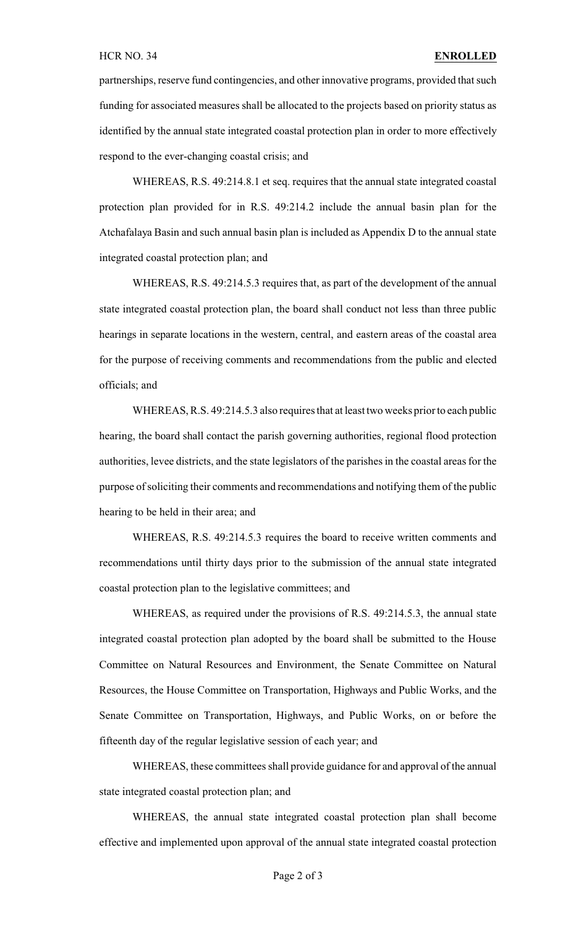partnerships, reserve fund contingencies, and other innovative programs, provided that such funding for associated measures shall be allocated to the projects based on priority status as identified by the annual state integrated coastal protection plan in order to more effectively respond to the ever-changing coastal crisis; and

WHEREAS, R.S. 49:214.8.1 et seq. requires that the annual state integrated coastal protection plan provided for in R.S. 49:214.2 include the annual basin plan for the Atchafalaya Basin and such annual basin plan is included as Appendix D to the annual state integrated coastal protection plan; and

WHEREAS, R.S. 49:214.5.3 requires that, as part of the development of the annual state integrated coastal protection plan, the board shall conduct not less than three public hearings in separate locations in the western, central, and eastern areas of the coastal area for the purpose of receiving comments and recommendations from the public and elected officials; and

WHEREAS, R.S. 49:214.5.3 also requires that at least two weeks prior to each public hearing, the board shall contact the parish governing authorities, regional flood protection authorities, levee districts, and the state legislators of the parishes in the coastal areas for the purpose of soliciting their comments and recommendations and notifying them of the public hearing to be held in their area; and

WHEREAS, R.S. 49:214.5.3 requires the board to receive written comments and recommendations until thirty days prior to the submission of the annual state integrated coastal protection plan to the legislative committees; and

WHEREAS, as required under the provisions of R.S. 49:214.5.3, the annual state integrated coastal protection plan adopted by the board shall be submitted to the House Committee on Natural Resources and Environment, the Senate Committee on Natural Resources, the House Committee on Transportation, Highways and Public Works, and the Senate Committee on Transportation, Highways, and Public Works, on or before the fifteenth day of the regular legislative session of each year; and

WHEREAS, these committees shall provide guidance for and approval of the annual state integrated coastal protection plan; and

WHEREAS, the annual state integrated coastal protection plan shall become effective and implemented upon approval of the annual state integrated coastal protection